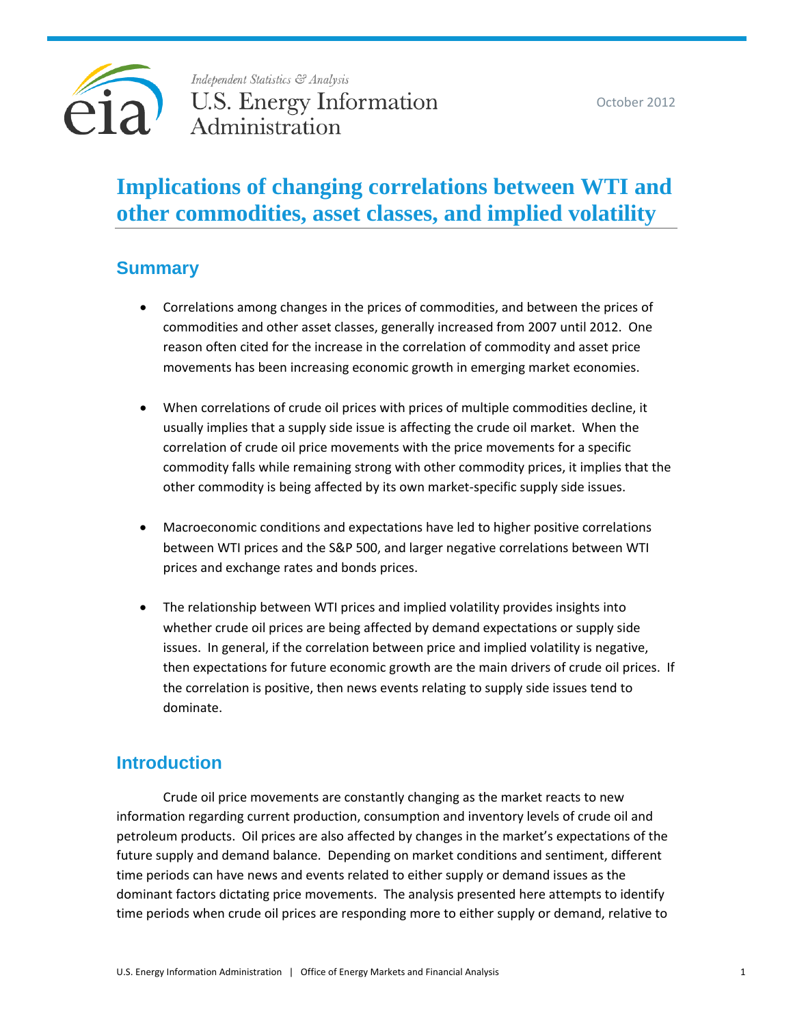

# **Implications of changing correlations between WTI and other commodities, asset classes, and implied volatility**

# **Summary**

- Correlations among changes in the prices of commodities, and between the prices of commodities and other asset classes, generally increased from 2007 until 2012. One reason often cited for the increase in the correlation of commodity and asset price movements has been increasing economic growth in emerging market economies.
- When correlations of crude oil prices with prices of multiple commodities decline, it usually implies that a supply side issue is affecting the crude oil market. When the correlation of crude oil price movements with the price movements for a specific commodity falls while remaining strong with other commodity prices, it implies that the other commodity is being affected by its own market-specific supply side issues.
- Macroeconomic conditions and expectations have led to higher positive correlations between WTI prices and the S&P 500, and larger negative correlations between WTI prices and exchange rates and bonds prices.
- The relationship between WTI prices and implied volatility provides insights into whether crude oil prices are being affected by demand expectations or supply side issues. In general, if the correlation between price and implied volatility is negative, then expectations for future economic growth are the main drivers of crude oil prices. If the correlation is positive, then news events relating to supply side issues tend to dominate.

# **Introduction**

Crude oil price movements are constantly changing as the market reacts to new information regarding current production, consumption and inventory levels of crude oil and petroleum products. Oil prices are also affected by changes in the market's expectations of the future supply and demand balance. Depending on market conditions and sentiment, different time periods can have news and events related to either supply or demand issues as the dominant factors dictating price movements. The analysis presented here attempts to identify time periods when crude oil prices are responding more to either supply or demand, relative to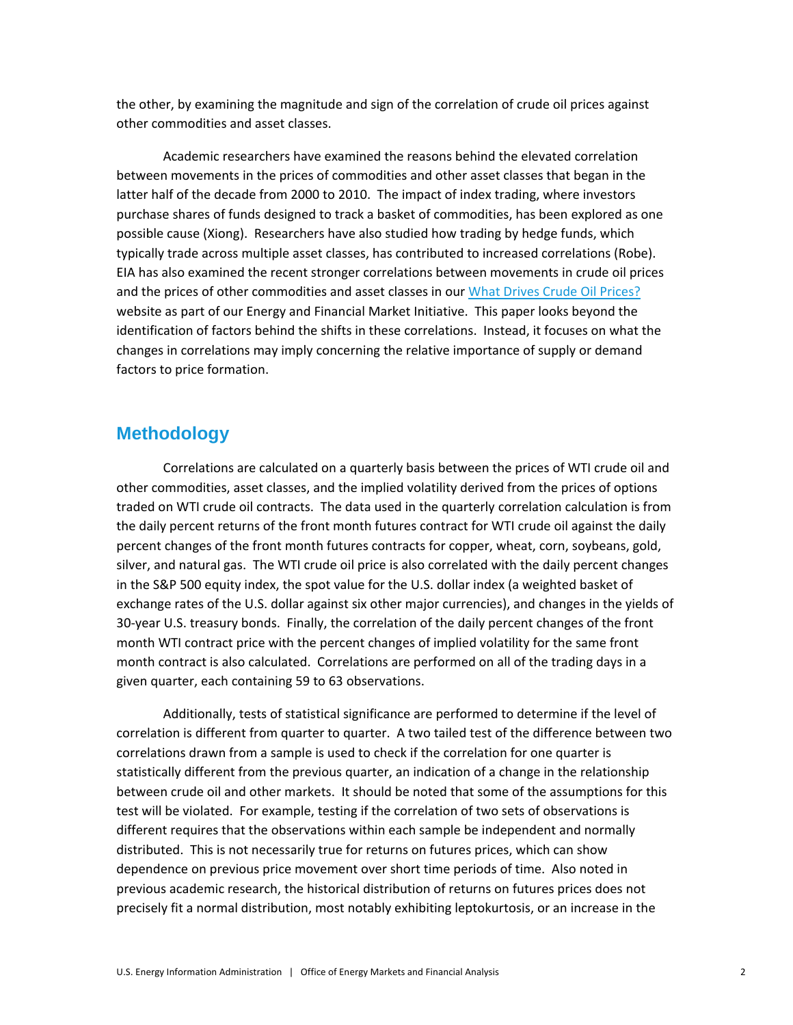the other, by examining the magnitude and sign of the correlation of crude oil prices against other commodities and asset classes.

Academic researchers have examined the reasons behind the elevated correlation between movements in the prices of commodities and other asset classes that began in the latter half of the decade from 2000 to 2010. The impact of index trading, where investors purchase shares of funds designed to track a basket of commodities, has been explored as one possible cause (Xiong). Researchers have also studied how trading by hedge funds, which typically trade across multiple asset classes, has contributed to increased correlations (Robe). EIA has also examined the recent stronger correlations between movements in crude oil prices and the prices of other commodities and asset classes in our [What Drives Crude Oil Prices?](http://www.eia.gov/finance/markets/) website as part of our Energy and Financial Market Initiative. This paper looks beyond the identification of factors behind the shifts in these correlations. Instead, it focuses on what the changes in correlations may imply concerning the relative importance of supply or demand factors to price formation.

### **Methodology**

Correlations are calculated on a quarterly basis between the prices of WTI crude oil and other commodities, asset classes, and the implied volatility derived from the prices of options traded on WTI crude oil contracts. The data used in the quarterly correlation calculation is from the daily percent returns of the front month futures contract for WTI crude oil against the daily percent changes of the front month futures contracts for copper, wheat, corn, soybeans, gold, silver, and natural gas. The WTI crude oil price is also correlated with the daily percent changes in the S&P 500 equity index, the spot value for the U.S. dollar index (a weighted basket of exchange rates of the U.S. dollar against six other major currencies), and changes in the yields of 30-year U.S. treasury bonds. Finally, the correlation of the daily percent changes of the front month WTI contract price with the percent changes of implied volatility for the same front month contract is also calculated. Correlations are performed on all of the trading days in a given quarter, each containing 59 to 63 observations.

Additionally, tests of statistical significance are performed to determine if the level of correlation is different from quarter to quarter. A two tailed test of the difference between two correlations drawn from a sample is used to check if the correlation for one quarter is statistically different from the previous quarter, an indication of a change in the relationship between crude oil and other markets. It should be noted that some of the assumptions for this test will be violated. For example, testing if the correlation of two sets of observations is different requires that the observations within each sample be independent and normally distributed. This is not necessarily true for returns on futures prices, which can show dependence on previous price movement over short time periods of time. Also noted in previous academic research, the historical distribution of returns on futures prices does not precisely fit a normal distribution, most notably exhibiting leptokurtosis, or an increase in the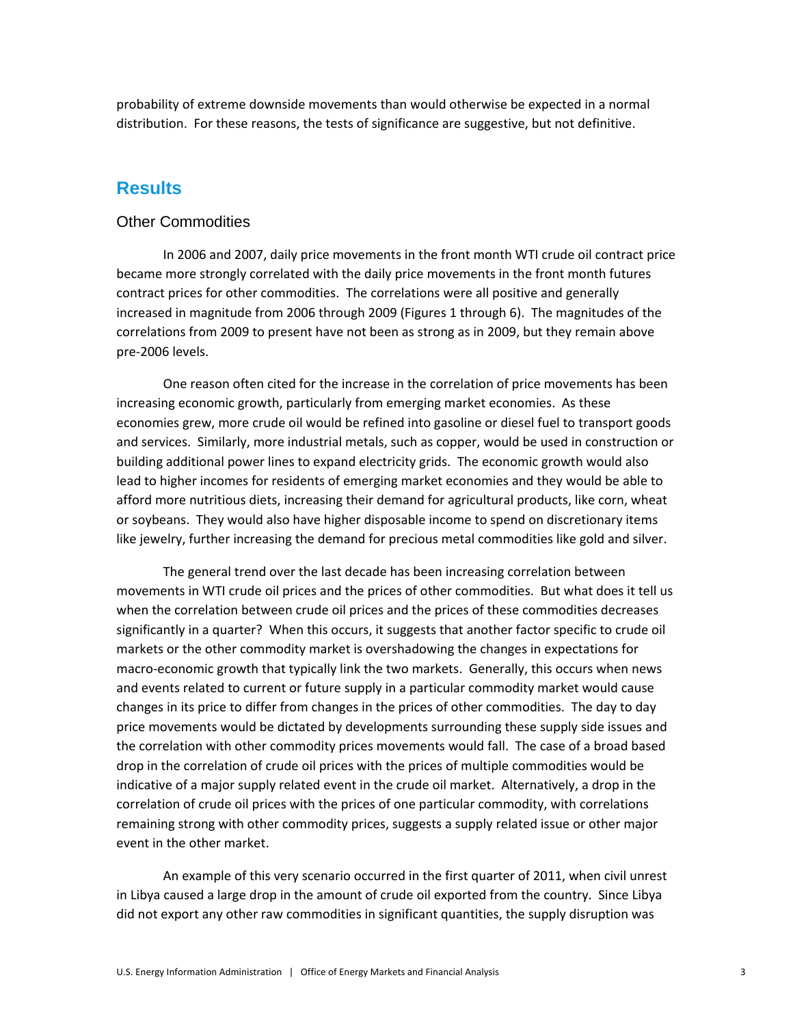probability of extreme downside movements than would otherwise be expected in a normal distribution. For these reasons, the tests of significance are suggestive, but not definitive.

### **Results**

#### Other Commodities

In 2006 and 2007, daily price movements in the front month WTI crude oil contract price became more strongly correlated with the daily price movements in the front month futures contract prices for other commodities. The correlations were all positive and generally increased in magnitude from 2006 through 2009 (Figures 1 through 6). The magnitudes of the correlations from 2009 to present have not been as strong as in 2009, but they remain above pre-2006 levels.

One reason often cited for the increase in the correlation of price movements has been increasing economic growth, particularly from emerging market economies. As these economies grew, more crude oil would be refined into gasoline or diesel fuel to transport goods and services. Similarly, more industrial metals, such as copper, would be used in construction or building additional power lines to expand electricity grids. The economic growth would also lead to higher incomes for residents of emerging market economies and they would be able to afford more nutritious diets, increasing their demand for agricultural products, like corn, wheat or soybeans. They would also have higher disposable income to spend on discretionary items like jewelry, further increasing the demand for precious metal commodities like gold and silver.

The general trend over the last decade has been increasing correlation between movements in WTI crude oil prices and the prices of other commodities. But what does it tell us when the correlation between crude oil prices and the prices of these commodities decreases significantly in a quarter? When this occurs, it suggests that another factor specific to crude oil markets or the other commodity market is overshadowing the changes in expectations for macro-economic growth that typically link the two markets. Generally, this occurs when news and events related to current or future supply in a particular commodity market would cause changes in its price to differ from changes in the prices of other commodities. The day to day price movements would be dictated by developments surrounding these supply side issues and the correlation with other commodity prices movements would fall. The case of a broad based drop in the correlation of crude oil prices with the prices of multiple commodities would be indicative of a major supply related event in the crude oil market. Alternatively, a drop in the correlation of crude oil prices with the prices of one particular commodity, with correlations remaining strong with other commodity prices, suggests a supply related issue or other major event in the other market.

An example of this very scenario occurred in the first quarter of 2011, when civil unrest in Libya caused a large drop in the amount of crude oil exported from the country. Since Libya did not export any other raw commodities in significant quantities, the supply disruption was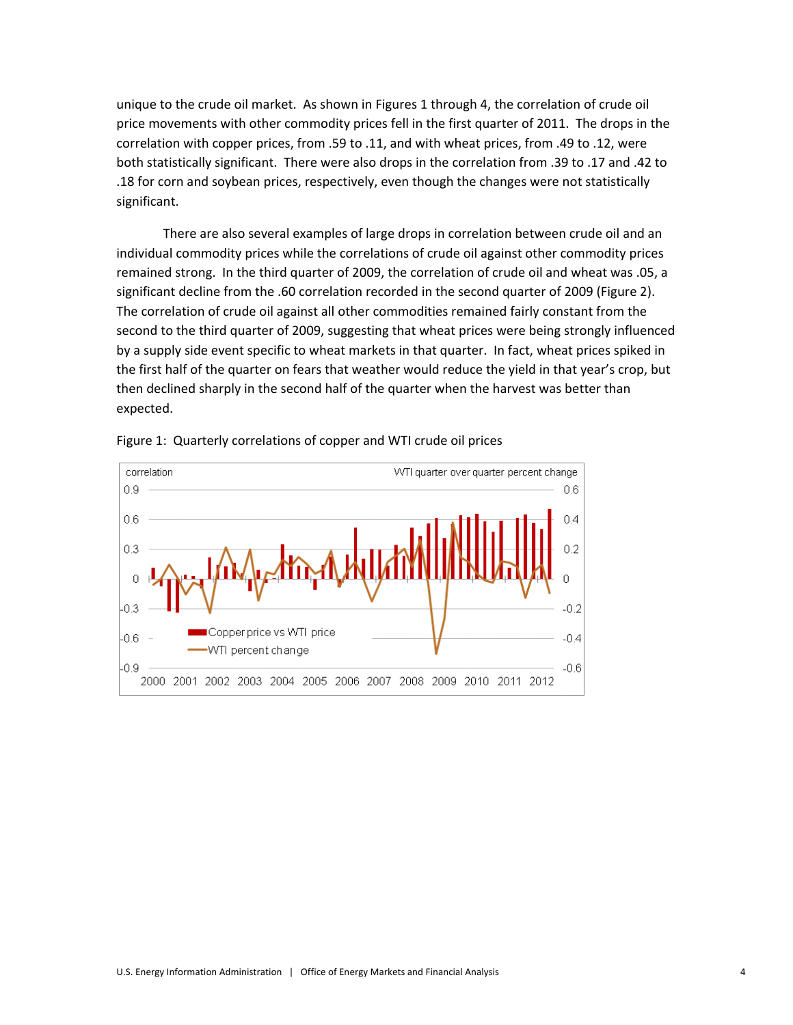unique to the crude oil market. As shown in Figures 1 through 4, the correlation of crude oil price movements with other commodity prices fell in the first quarter of 2011. The drops in the correlation with copper prices, from .59 to .11, and with wheat prices, from .49 to .12, were both statistically significant. There were also drops in the correlation from .39 to .17 and .42 to .18 for corn and soybean prices, respectively, even though the changes were not statistically significant.

There are also several examples of large drops in correlation between crude oil and an individual commodity prices while the correlations of crude oil against other commodity prices remained strong. In the third quarter of 2009, the correlation of crude oil and wheat was .05, a significant decline from the .60 correlation recorded in the second quarter of 2009 (Figure 2). The correlation of crude oil against all other commodities remained fairly constant from the second to the third quarter of 2009, suggesting that wheat prices were being strongly influenced by a supply side event specific to wheat markets in that quarter. In fact, wheat prices spiked in the first half of the quarter on fears that weather would reduce the yield in that year's crop, but then declined sharply in the second half of the quarter when the harvest was better than expected.



Figure 1: Quarterly correlations of copper and WTI crude oil prices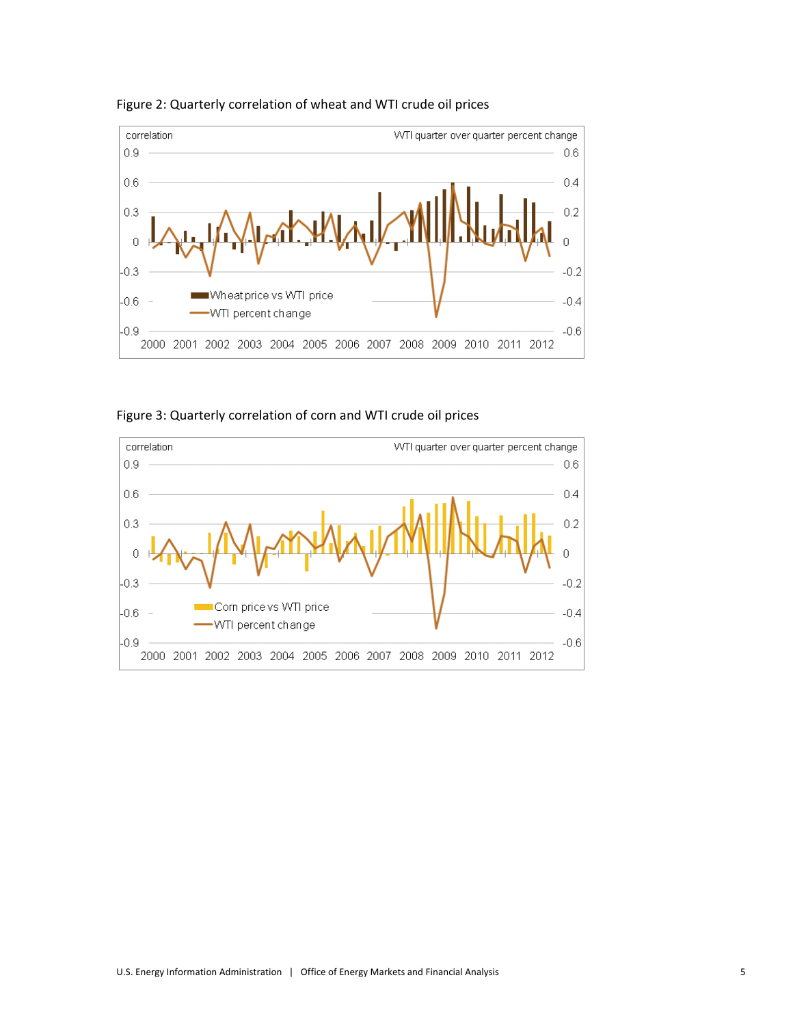

Figure 2: Quarterly correlation of wheat and WTI crude oil prices

Figure 3: Quarterly correlation of corn and WTI crude oil prices

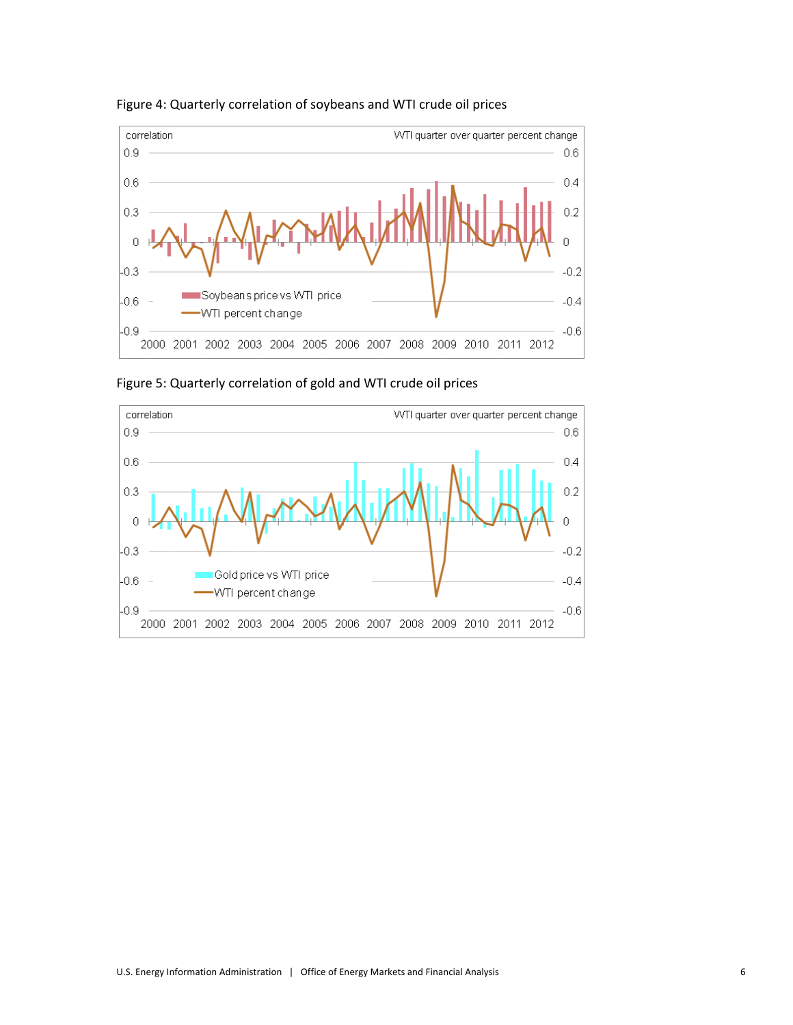

Figure 4: Quarterly correlation of soybeans and WTI crude oil prices

Figure 5: Quarterly correlation of gold and WTI crude oil prices

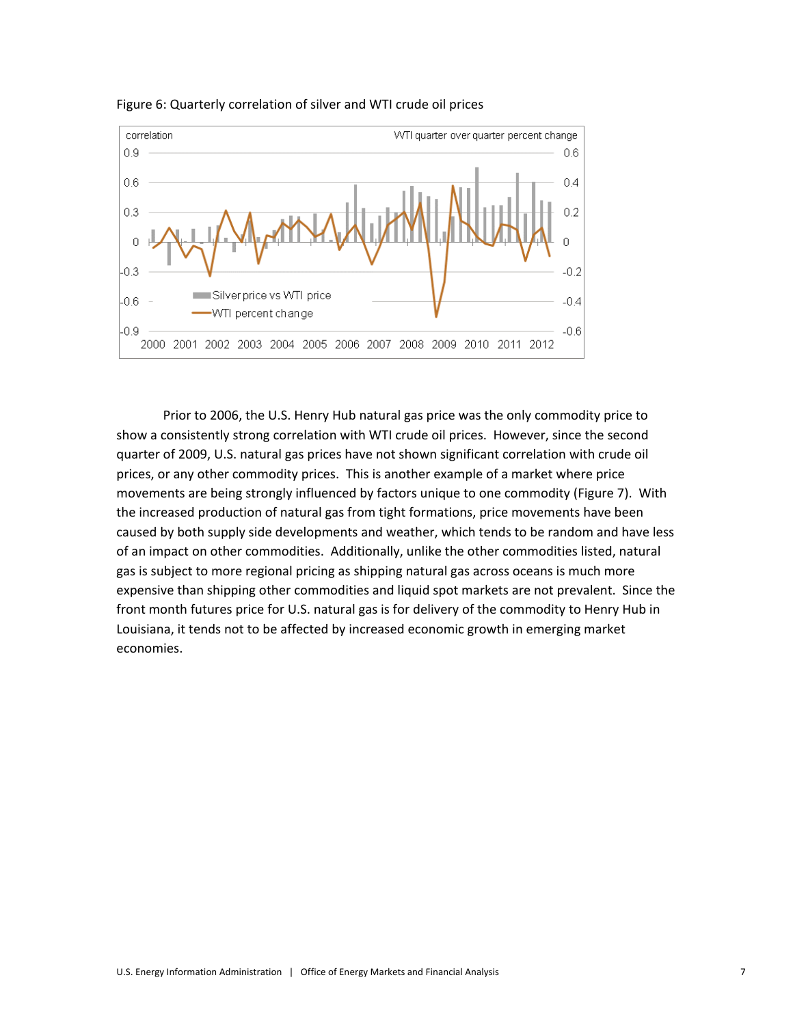

Figure 6: Quarterly correlation of silver and WTI crude oil prices

Prior to 2006, the U.S. Henry Hub natural gas price was the only commodity price to show a consistently strong correlation with WTI crude oil prices. However, since the second quarter of 2009, U.S. natural gas prices have not shown significant correlation with crude oil prices, or any other commodity prices. This is another example of a market where price movements are being strongly influenced by factors unique to one commodity (Figure 7). With the increased production of natural gas from tight formations, price movements have been caused by both supply side developments and weather, which tends to be random and have less of an impact on other commodities. Additionally, unlike the other commodities listed, natural gas is subject to more regional pricing as shipping natural gas across oceans is much more expensive than shipping other commodities and liquid spot markets are not prevalent. Since the front month futures price for U.S. natural gas is for delivery of the commodity to Henry Hub in Louisiana, it tends not to be affected by increased economic growth in emerging market economies.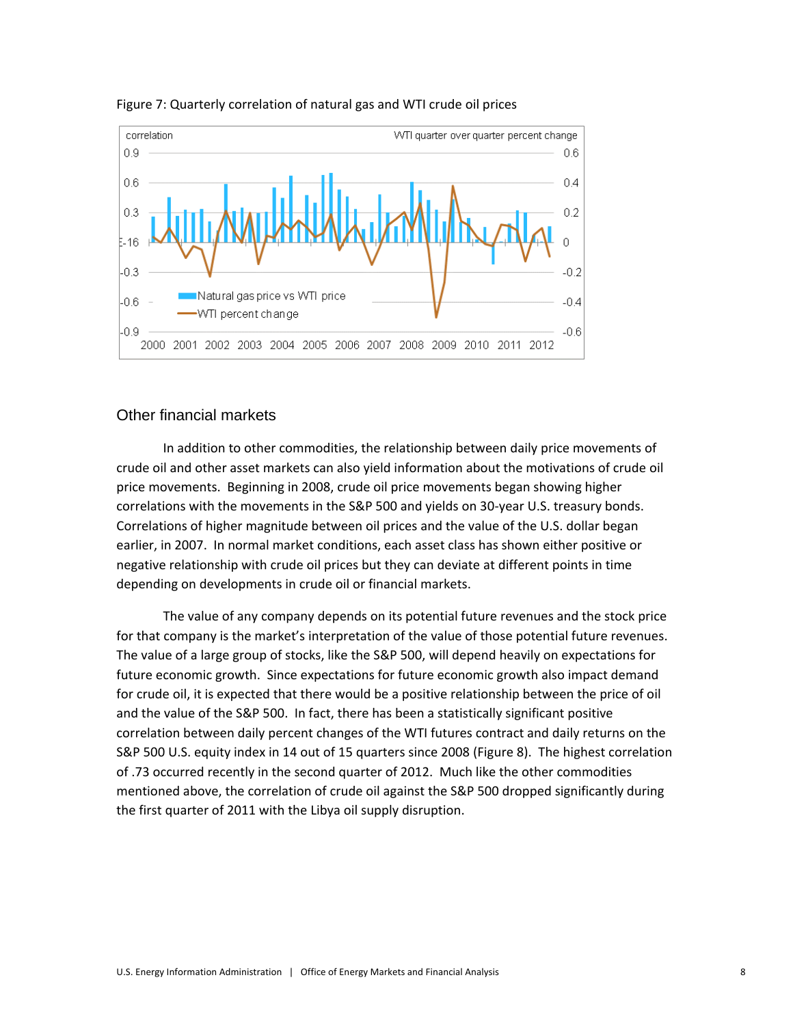

#### Figure 7: Quarterly correlation of natural gas and WTI crude oil prices

#### Other financial markets

In addition to other commodities, the relationship between daily price movements of crude oil and other asset markets can also yield information about the motivations of crude oil price movements. Beginning in 2008, crude oil price movements began showing higher correlations with the movements in the S&P 500 and yields on 30-year U.S. treasury bonds. Correlations of higher magnitude between oil prices and the value of the U.S. dollar began earlier, in 2007. In normal market conditions, each asset class has shown either positive or negative relationship with crude oil prices but they can deviate at different points in time depending on developments in crude oil or financial markets.

The value of any company depends on its potential future revenues and the stock price for that company is the market's interpretation of the value of those potential future revenues. The value of a large group of stocks, like the S&P 500, will depend heavily on expectations for future economic growth. Since expectations for future economic growth also impact demand for crude oil, it is expected that there would be a positive relationship between the price of oil and the value of the S&P 500. In fact, there has been a statistically significant positive correlation between daily percent changes of the WTI futures contract and daily returns on the S&P 500 U.S. equity index in 14 out of 15 quarters since 2008 (Figure 8). The highest correlation of .73 occurred recently in the second quarter of 2012. Much like the other commodities mentioned above, the correlation of crude oil against the S&P 500 dropped significantly during the first quarter of 2011 with the Libya oil supply disruption.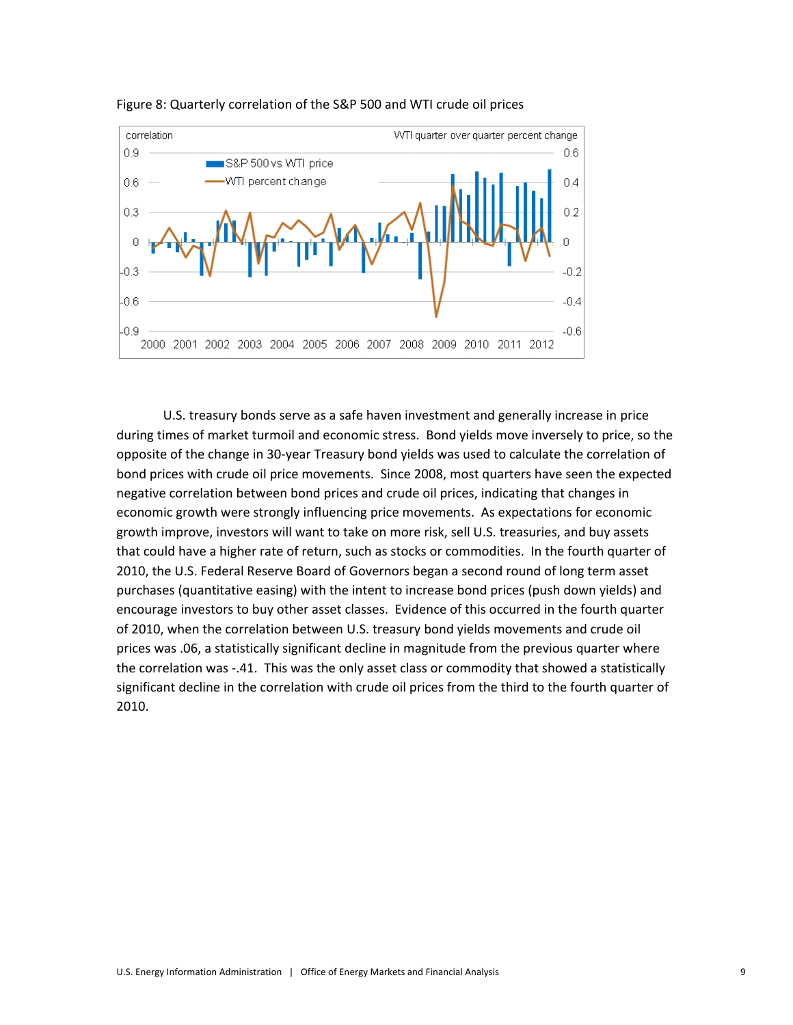



U.S. treasury bonds serve as a safe haven investment and generally increase in price during times of market turmoil and economic stress. Bond yields move inversely to price, so the opposite of the change in 30-year Treasury bond yields was used to calculate the correlation of bond prices with crude oil price movements. Since 2008, most quarters have seen the expected negative correlation between bond prices and crude oil prices, indicating that changes in economic growth were strongly influencing price movements. As expectations for economic growth improve, investors will want to take on more risk, sell U.S. treasuries, and buy assets that could have a higher rate of return, such as stocks or commodities. In the fourth quarter of 2010, the U.S. Federal Reserve Board of Governors began a second round of long term asset purchases (quantitative easing) with the intent to increase bond prices (push down yields) and encourage investors to buy other asset classes. Evidence of this occurred in the fourth quarter of 2010, when the correlation between U.S. treasury bond yields movements and crude oil prices was .06, a statistically significant decline in magnitude from the previous quarter where the correlation was -.41. This was the only asset class or commodity that showed a statistically significant decline in the correlation with crude oil prices from the third to the fourth quarter of 2010.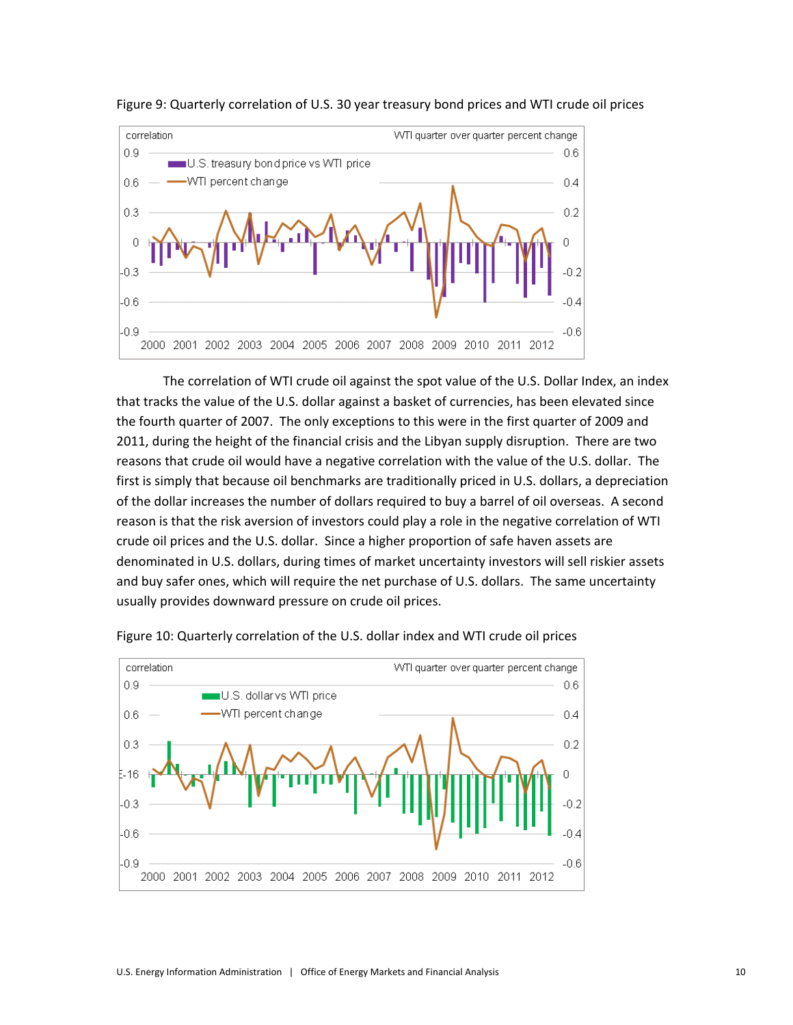



The correlation of WTI crude oil against the spot value of the U.S. Dollar Index, an index that tracks the value of the U.S. dollar against a basket of currencies, has been elevated since the fourth quarter of 2007. The only exceptions to this were in the first quarter of 2009 and 2011, during the height of the financial crisis and the Libyan supply disruption. There are two reasons that crude oil would have a negative correlation with the value of the U.S. dollar. The first is simply that because oil benchmarks are traditionally priced in U.S. dollars, a depreciation of the dollar increases the number of dollars required to buy a barrel of oil overseas. A second reason is that the risk aversion of investors could play a role in the negative correlation of WTI crude oil prices and the U.S. dollar. Since a higher proportion of safe haven assets are denominated in U.S. dollars, during times of market uncertainty investors will sell riskier assets and buy safer ones, which will require the net purchase of U.S. dollars. The same uncertainty usually provides downward pressure on crude oil prices.



Figure 10: Quarterly correlation of the U.S. dollar index and WTI crude oil prices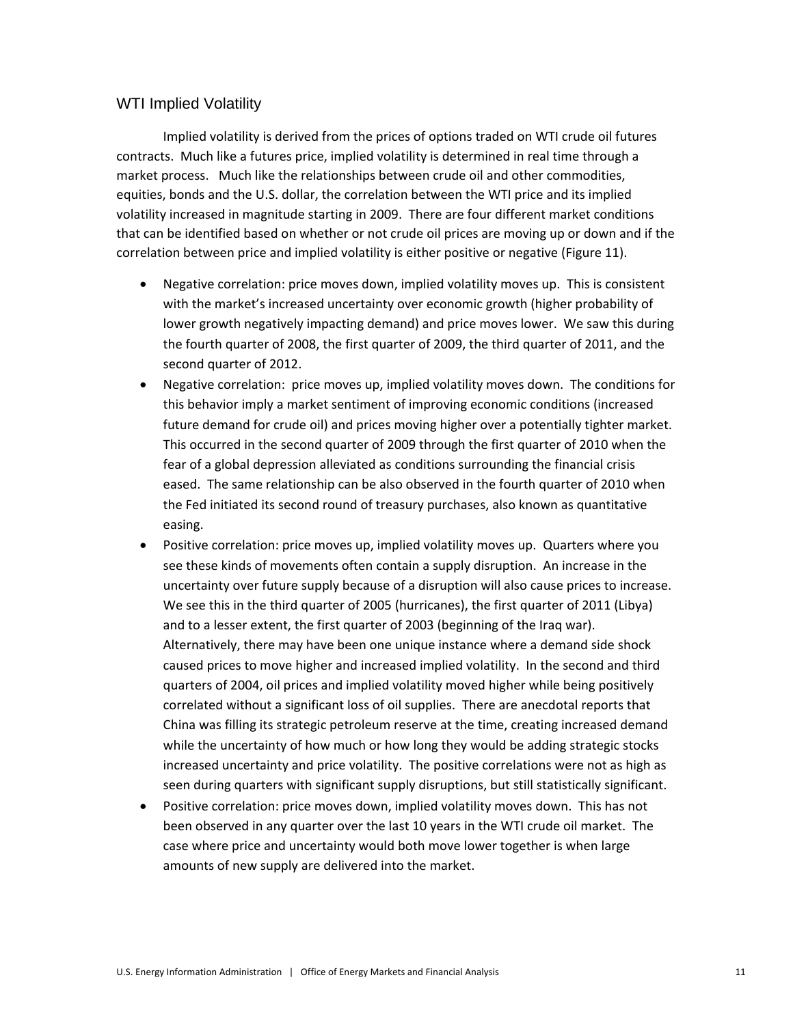#### WTI Implied Volatility

Implied volatility is derived from the prices of options traded on WTI crude oil futures contracts. Much like a futures price, implied volatility is determined in real time through a market process. Much like the relationships between crude oil and other commodities, equities, bonds and the U.S. dollar, the correlation between the WTI price and its implied volatility increased in magnitude starting in 2009. There are four different market conditions that can be identified based on whether or not crude oil prices are moving up or down and if the correlation between price and implied volatility is either positive or negative (Figure 11).

- Negative correlation: price moves down, implied volatility moves up. This is consistent with the market's increased uncertainty over economic growth (higher probability of lower growth negatively impacting demand) and price moves lower. We saw this during the fourth quarter of 2008, the first quarter of 2009, the third quarter of 2011, and the second quarter of 2012.
- Negative correlation: price moves up, implied volatility moves down. The conditions for this behavior imply a market sentiment of improving economic conditions (increased future demand for crude oil) and prices moving higher over a potentially tighter market. This occurred in the second quarter of 2009 through the first quarter of 2010 when the fear of a global depression alleviated as conditions surrounding the financial crisis eased. The same relationship can be also observed in the fourth quarter of 2010 when the Fed initiated its second round of treasury purchases, also known as quantitative easing.
- Positive correlation: price moves up, implied volatility moves up. Quarters where you see these kinds of movements often contain a supply disruption. An increase in the uncertainty over future supply because of a disruption will also cause prices to increase. We see this in the third quarter of 2005 (hurricanes), the first quarter of 2011 (Libya) and to a lesser extent, the first quarter of 2003 (beginning of the Iraq war). Alternatively, there may have been one unique instance where a demand side shock caused prices to move higher and increased implied volatility. In the second and third quarters of 2004, oil prices and implied volatility moved higher while being positively correlated without a significant loss of oil supplies. There are anecdotal reports that China was filling its strategic petroleum reserve at the time, creating increased demand while the uncertainty of how much or how long they would be adding strategic stocks increased uncertainty and price volatility. The positive correlations were not as high as seen during quarters with significant supply disruptions, but still statistically significant.
- Positive correlation: price moves down, implied volatility moves down. This has not been observed in any quarter over the last 10 years in the WTI crude oil market. The case where price and uncertainty would both move lower together is when large amounts of new supply are delivered into the market.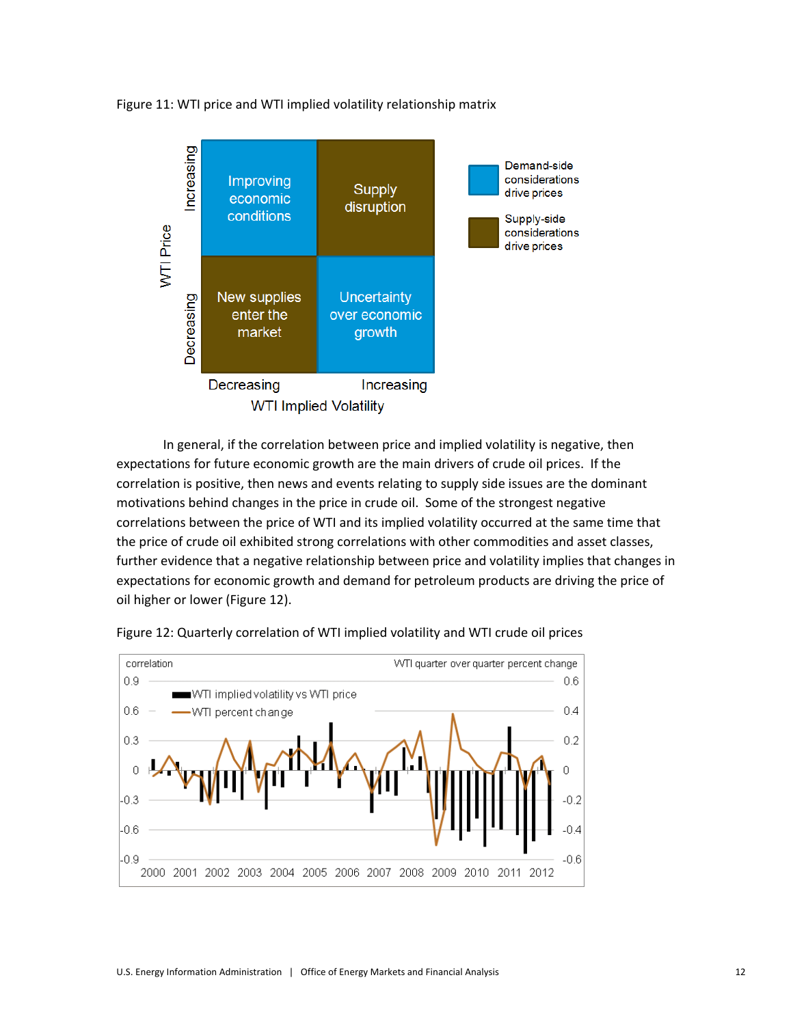Figure 11: WTI price and WTI implied volatility relationship matrix



In general, if the correlation between price and implied volatility is negative, then expectations for future economic growth are the main drivers of crude oil prices. If the correlation is positive, then news and events relating to supply side issues are the dominant motivations behind changes in the price in crude oil. Some of the strongest negative correlations between the price of WTI and its implied volatility occurred at the same time that the price of crude oil exhibited strong correlations with other commodities and asset classes, further evidence that a negative relationship between price and volatility implies that changes in expectations for economic growth and demand for petroleum products are driving the price of oil higher or lower (Figure 12).



Figure 12: Quarterly correlation of WTI implied volatility and WTI crude oil prices